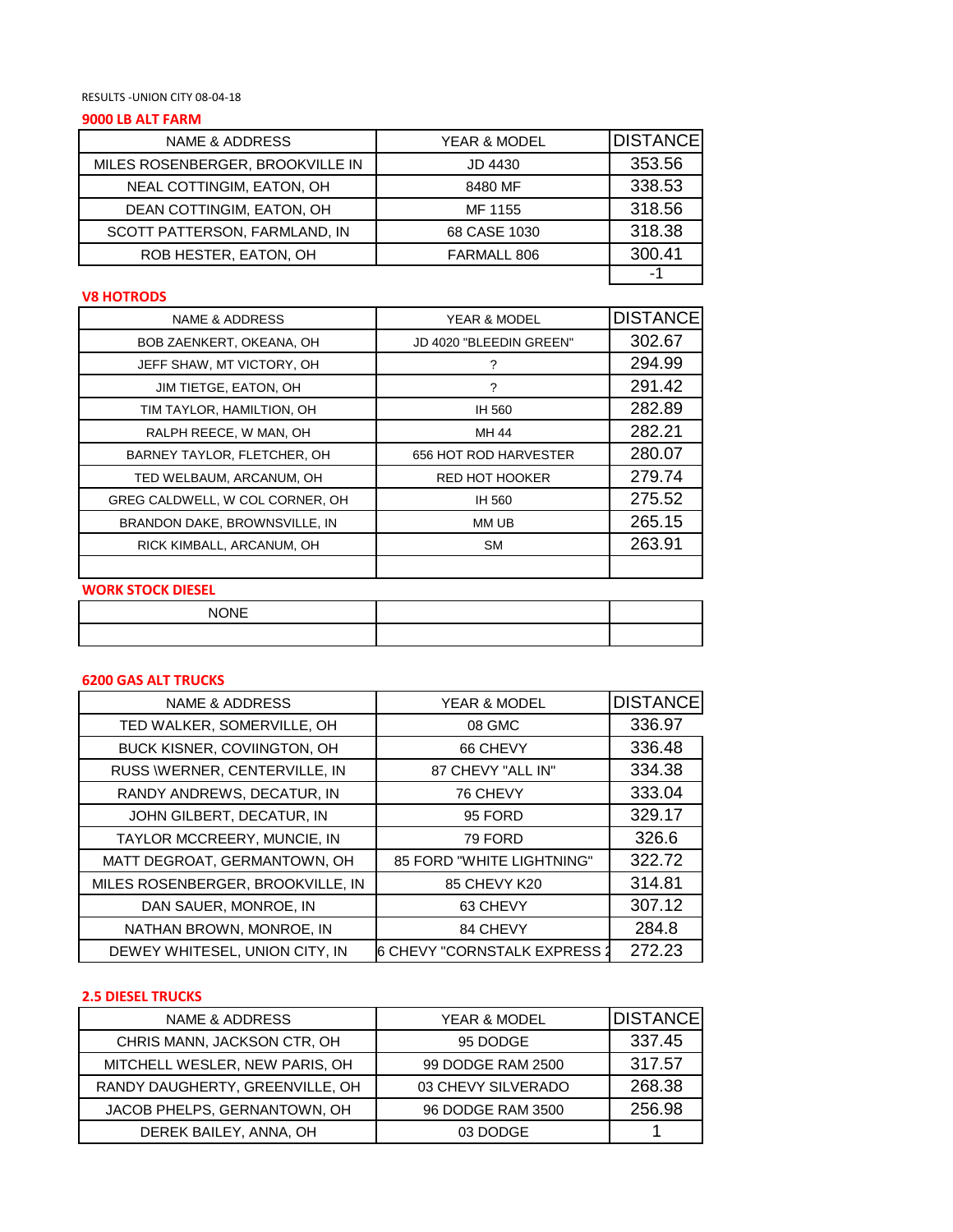RESULTS -UNION CITY 08-04-18

## **9000 LB ALT FARM**

| NAME & ADDRESS                   | <b>YEAR &amp; MODEL</b> | <b>DISTANCE</b> |
|----------------------------------|-------------------------|-----------------|
| MILES ROSENBERGER, BROOKVILLE IN | JD 4430                 | 353.56          |
| NEAL COTTINGIM, EATON, OH        | 8480 MF                 | 338.53          |
| DEAN COTTINGIM, EATON, OH        | MF 1155                 | 318.56          |
| SCOTT PATTERSON, FARMLAND, IN    | 68 CASE 1030            | 318.38          |
| ROB HESTER, EATON, OH            | FARMALL 806             | 300.41          |
|                                  |                         |                 |

## **V8 HOTRODS**

| NAME & ADDRESS                  | <b>YEAR &amp; MODEL</b> | <b>DISTANCE</b> |
|---------------------------------|-------------------------|-----------------|
| BOB ZAENKERT, OKEANA, OH        | JD 4020 "BLEEDIN GREEN" | 302.67          |
| JEFF SHAW, MT VICTORY, OH       | ?                       | 294.99          |
| JIM TIETGE, EATON, OH           | ?                       | 291.42          |
| TIM TAYLOR, HAMILTION, OH       | IH 560                  | 282.89          |
| RALPH REECE, W MAN, OH          | MH 44                   | 282.21          |
| BARNEY TAYLOR, FLETCHER, OH     | 656 HOT ROD HARVESTER   | 280.07          |
| TED WELBAUM, ARCANUM, OH        | RED HOT HOOKER          | 279.74          |
| GREG CALDWELL, W COL CORNER, OH | IH 560                  | 275.52          |
| BRANDON DAKE, BROWNSVILLE, IN   | MM UB                   | 265.15          |
| RICK KIMBALL, ARCANUM, OH       | SM                      | 263.91          |
|                                 |                         |                 |
| <b>WORK STOCK DIESEL</b>        |                         |                 |

| <b>NONE</b> |  |
|-------------|--|
|             |  |

# **6200 GAS ALT TRUCKS**

| <b>NAME &amp; ADDRESS</b>         | YEAR & MODEL                     | <b>DISTANCE</b> |
|-----------------------------------|----------------------------------|-----------------|
| TED WALKER, SOMERVILLE, OH        | 08 GMC                           | 336.97          |
| BUCK KISNER, COVIINGTON, OH       | 66 CHEVY                         | 336.48          |
| RUSS \WERNER, CENTERVILLE, IN     | 87 CHEVY "ALL IN"                | 334.38          |
| RANDY ANDREWS, DECATUR, IN        | 76 CHEVY                         | 333.04          |
| JOHN GILBERT, DECATUR, IN         | 95 FORD                          | 329.17          |
| TAYLOR MCCREERY, MUNCIE, IN       | 79 FORD                          | 326.6           |
| MATT DEGROAT, GERMANTOWN, OH      | <b>85 FORD "WHITE LIGHTNING"</b> | 322.72          |
| MILES ROSENBERGER, BROOKVILLE, IN | 85 CHEVY K20                     | 314.81          |
| DAN SAUER, MONROE, IN             | 63 CHEVY                         | 307.12          |
| NATHAN BROWN, MONROE, IN          | 84 CHEVY                         | 284.8           |
| DEWEY WHITESEL, UNION CITY, IN    | 6 CHEVY "CORNSTALK EXPRESS :     | 272.23          |

## **2.5 DIESEL TRUCKS**

| NAME & ADDRESS                  | YEAR & MODEL       | <b>DISTANCE</b> |
|---------------------------------|--------------------|-----------------|
| CHRIS MANN, JACKSON CTR, OH     | 95 DODGE           | 337.45          |
| MITCHELL WESLER, NEW PARIS, OH  | 99 DODGE RAM 2500  | 317.57          |
| RANDY DAUGHERTY, GREENVILLE, OH | 03 CHEVY SILVERADO | 268.38          |
| JACOB PHELPS, GERNANTOWN, OH    | 96 DODGE RAM 3500  | 256.98          |
| DEREK BAILEY, ANNA, OH          | 03 DODGE           |                 |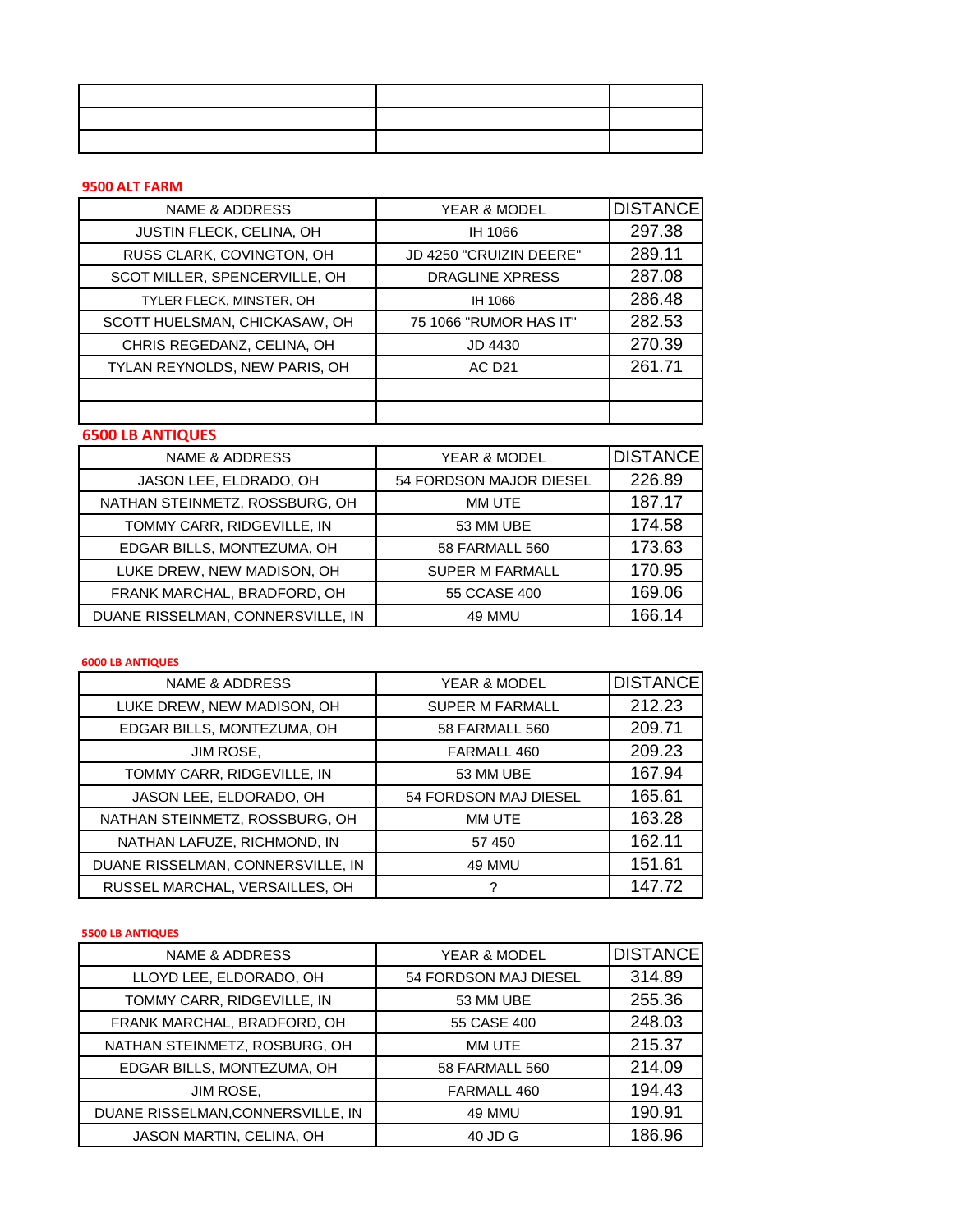## **9500 ALT FARM**

| <b>NAME &amp; ADDRESS</b>       | YEAR & MODEL            | <b>DISTANCE</b> |
|---------------------------------|-------------------------|-----------------|
| <b>JUSTIN FLECK, CELINA, OH</b> | IH 1066                 | 297.38          |
| RUSS CLARK, COVINGTON, OH       | JD 4250 "CRUIZIN DEERE" | 289.11          |
| SCOT MILLER, SPENCERVILLE, OH   | <b>DRAGLINE XPRESS</b>  | 287.08          |
| TYLER FLECK, MINSTER, OH        | IH 1066                 | 286.48          |
| SCOTT HUELSMAN, CHICKASAW, OH   | 75 1066 "RUMOR HAS IT"  | 282.53          |
| CHRIS REGEDANZ, CELINA, OH      | JD 4430                 | 270.39          |
| TYLAN REYNOLDS, NEW PARIS, OH   | <b>AC D21</b>           | 261.71          |
|                                 |                         |                 |
|                                 |                         |                 |

# **6500 LB ANTIQUES**

| <b>NAME &amp; ADDRESS</b>         | <b>YEAR &amp; MODEL</b> | <b>DISTANCE</b> |
|-----------------------------------|-------------------------|-----------------|
| JASON LEE, ELDRADO, OH            | 54 FORDSON MAJOR DIESEL | 226.89          |
| NATHAN STEINMETZ, ROSSBURG, OH    | MM UTE                  | 187.17          |
| TOMMY CARR, RIDGEVILLE, IN        | 53 MM UBE               | 174.58          |
| EDGAR BILLS, MONTEZUMA, OH        | 58 FARMALL 560          | 173.63          |
| LUKE DREW, NEW MADISON, OH        | <b>SUPER M FARMALL</b>  | 170.95          |
| FRANK MARCHAL, BRADFORD, OH       | 55 CCASE 400            | 169.06          |
| DUANE RISSELMAN, CONNERSVILLE, IN | 49 MMU                  | 166.14          |

### **6000 LB ANTIQUES**

| <b>NAME &amp; ADDRESS</b>         | <b>YEAR &amp; MODEL</b> | <b>DISTANCE</b> |
|-----------------------------------|-------------------------|-----------------|
| LUKE DREW, NEW MADISON, OH        | <b>SUPER M FARMALL</b>  | 212.23          |
| EDGAR BILLS, MONTEZUMA, OH        | 58 FARMALL 560          | 209.71          |
| JIM ROSE,                         | FARMALL 460             | 209.23          |
| TOMMY CARR, RIDGEVILLE, IN        | 53 MM UBE               | 167.94          |
| JASON LEE, ELDORADO, OH           | 54 FORDSON MAJ DIESEL   | 165.61          |
| NATHAN STEINMETZ, ROSSBURG, OH    | MM UTE                  | 163.28          |
| NATHAN LAFUZE, RICHMOND, IN       | 57 450                  | 162.11          |
| DUANE RISSELMAN, CONNERSVILLE, IN | 49 MMU                  | 151.61          |
| RUSSEL MARCHAL, VERSAILLES, OH    | 2                       | 147.72          |

## **5500 LB ANTIQUES**

| <b>NAME &amp; ADDRESS</b>         | <b>YEAR &amp; MODEL</b> | <b>DISTANCE</b> |
|-----------------------------------|-------------------------|-----------------|
| LLOYD LEE, ELDORADO, OH           | 54 FORDSON MAJ DIESEL   | 314.89          |
| TOMMY CARR, RIDGEVILLE, IN        | 53 MM UBE               | 255.36          |
| FRANK MARCHAL, BRADFORD, OH       | 55 CASE 400             | 248.03          |
| NATHAN STEINMETZ, ROSBURG, OH     | MM UTE                  | 215.37          |
| EDGAR BILLS, MONTEZUMA, OH        | 58 FARMALL 560          | 214.09          |
| JIM ROSE,                         | FARMALL 460             | 194.43          |
| DUANE RISSELMAN, CONNERSVILLE, IN | 49 MMU                  | 190.91          |
| JASON MARTIN, CELINA, OH          | 40 JD G                 | 186.96          |